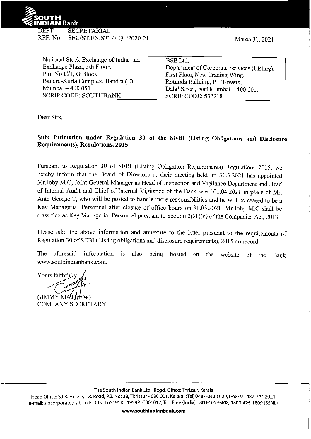

REF. No.: SEC/ST.EX.STT/ 153 /2020-21

| National Stock Exchange of India Ltd., | BSE Ltd.                                    |
|----------------------------------------|---------------------------------------------|
| Exchange Plaza, 5th Floor,             | Department of Corporate Services (Listing), |
| Plot No.C/1, G Block,                  | First Floor, New Trading Wing,              |
| Bandra-Kurla Complex, Bandra (E),      | Rotunda Building, P J Towers,               |
| Mumbai - 400 051.                      | Dalal Street, Fort, Mumbai - 400 001.       |
| SCRIP CODE: SOUTHBANK                  | <b>SCRIP CODE: 532218</b>                   |

Dear Sirs,

**Sub: Intimation under Regulation 30 of the SEBI (Listing Obligations and Disclosure Requirements), Regulations, 2015** 

Pursuant to Regulation 30 of SEBI (Listing Obligation Requirements) Regulations 2015, we hereby inform that the Board of Directors at their meeting held on 30.3.2021 has appointed Mr.Joby M.C, Joint General Manager as Head of Inspection and Vigilance Department and Head of Internal Audit and Chief of Internal Vigilance of the Bank w.e.f 01.04.2021 in place of Mr. Anto George T, who will be posted to handle more responsibilities and he will be ceased to be a Key Managerial Personnel after closure of office hours on 31.03.2021. Mr.Joby M.C shall be classified as Key Managerial Personnel pursuant to Section 2(51 )(v) of the Companies Act, 2013.

Please take the above information and annexure to the letter pursuant to the requirements of Regulation 30 of SEBI (Listing obligations and disclosure requirements), 2015 on record.

The aforesaid information is also being hosted on the website of the Bank www.southindianbank.com.

Yours faithfully,

(JIMMY MATHEW) COMPANY SECRETARY

The South Indian Bank Ltd., Regd. Office:Thrissur, Kerala

Head Office: 5.1.8. House, T.B. Road, P.B. No: 28, Thrissur- 680 001, Kerala. (Tel) 0487-2420 020, (Fax) 91 487-244 2021 e-mail: sibcorporate@sib.co.in, CIN: L65191KL 1929PLC001017, Toll Free (India) 1800-102-9408, 1800-425-1809 (BSNL)

**www.southindianbank.com**